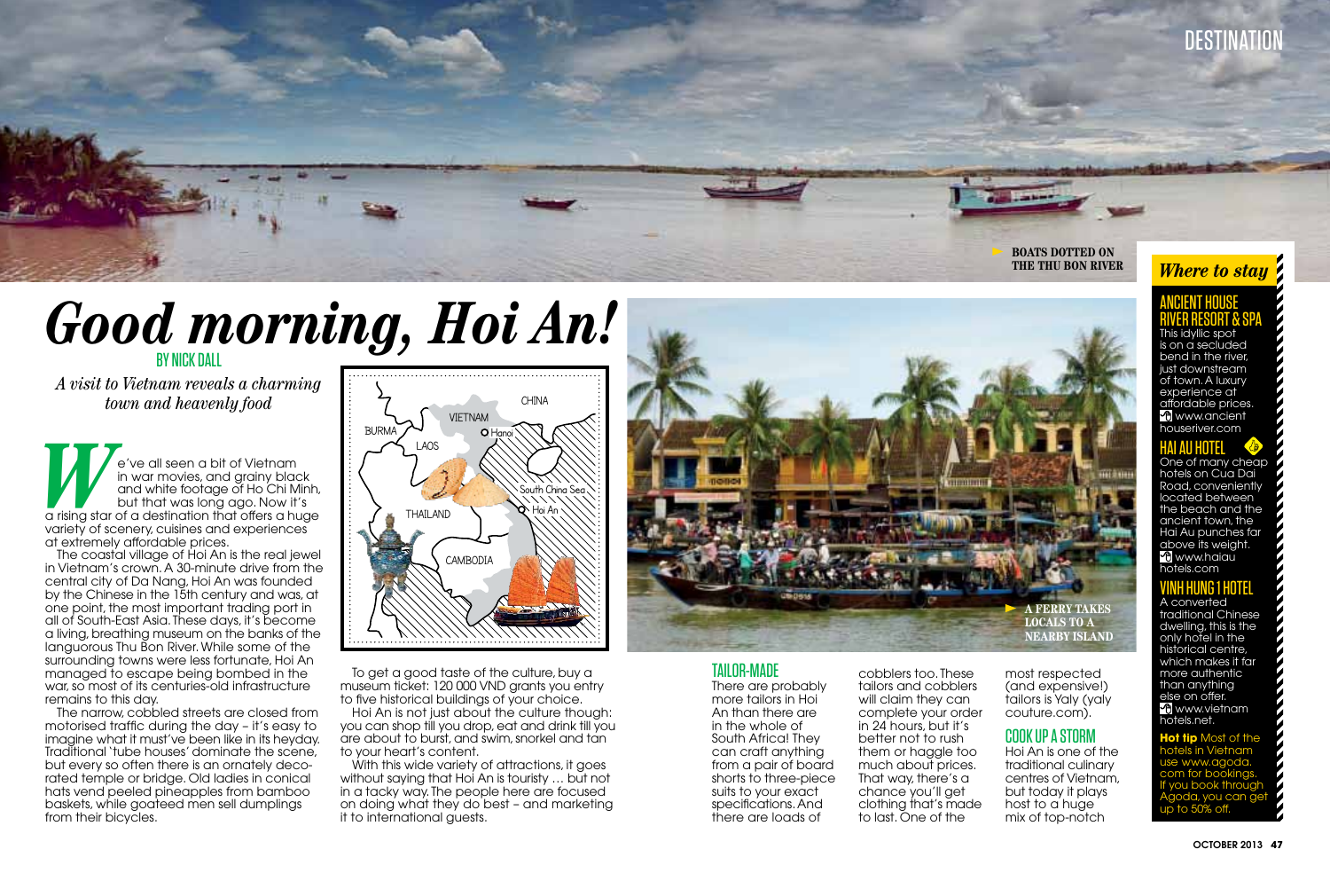

# **Good morning, Hoi An!**

*A visit to Vietnam reveals a charming town and heavenly food*

**We all seen a bit of Vietnam<br>
in war movies, and grainy black<br>
and white footage of Ho Chi Minh,<br>
but that was long ago. Now it's<br>
a rising star of a destination that offers a huge** in war movies, and grainy black and white footage of Ho Chi Minh, but that was long ago. Now it's variety of scenery, cuisines and experiences at extremely affordable prices.

The coastal village of Hoi An is the real jewel in Vietnam's crown. A 30-minute drive from the central city of Da Nang, Hoi An was founded by the Chinese in the 15th century and was, at one point, the most important trading port in all of South-East Asia. These days, it's become a living, breathing museum on the banks of the languorous Thu Bon River. While some of the surrounding towns were less fortunate, Hoi An managed to escape being bombed in the war, so most of its centuries-old infrastructure remains to this day.

The narrow, cobbled streets are closed from motorised traffic during the day – it's easy to imagine what it must've been like in its heyday. Traditional 'tube houses' dominate the scene, but every so often there is an ornately decorated temple or bridge. Old ladies in conical hats vend peeled pineapples from bamboo baskets, while goateed men sell dumplings from their bicycles.



To get a good taste of the culture, buy a museum ticket: 120 000 VND grants you entry to five historical buildings of your choice.

Hoi An is not just about the culture though: you can shop till you drop, eat and drink till you are about to burst, and swim, snorkel and tan to your heart's content.

With this wide variety of attractions, it goes without saying that Hoi An is touristy … but not in a tacky way. The people here are focused on doing what they do best – and marketing it to international guests.



#### Tailor-made There are probably more tailors in Hoi An than there are in the whole of South Africa! They can craft anything from a pair of board shorts to three-piece suits to your exact specifications. And there are loads of

cobblers too. These tailors and cobblers will claim they can complete your order in 24 hours, but it's better not to rush them or haggle too much about prices. That way, there's a chance you'll get clothing that's made to last. One of the

most respected (and expensive!) tailors is Yaly (yaly couture.com).

### Cook up a storm

Hoi An is one of the traditional culinary centres of Vietnam, but today it plays host to a huge mix of top-notch

## Ancient House River Resort & Spa

This idvllic spo $\,$ is on a secluded bend in the river, just downstream of town. A luxury experience at affordable prices. **C** www.ancient houseriver.com

## HAI AU HOTEL (C)<br>One of many cheap

hotels on Cua Dai Road, conveniently located between the beach and the ancient town, the Hai Au punches far above its weight. **C** www.haiau hotels.com

## **VINH HUNG 1 HOTEL**<br>A converted

traditional Chinese dwelling, this is the only hotel in the historical centre, which makes it far more authentic than anything else on offer. www.vietnam hotels.net.

**Hot tip** Most of the hotels in Vietnam use www.agoda. com for bookings. If you book through Agoda, you can get up to 50% off.